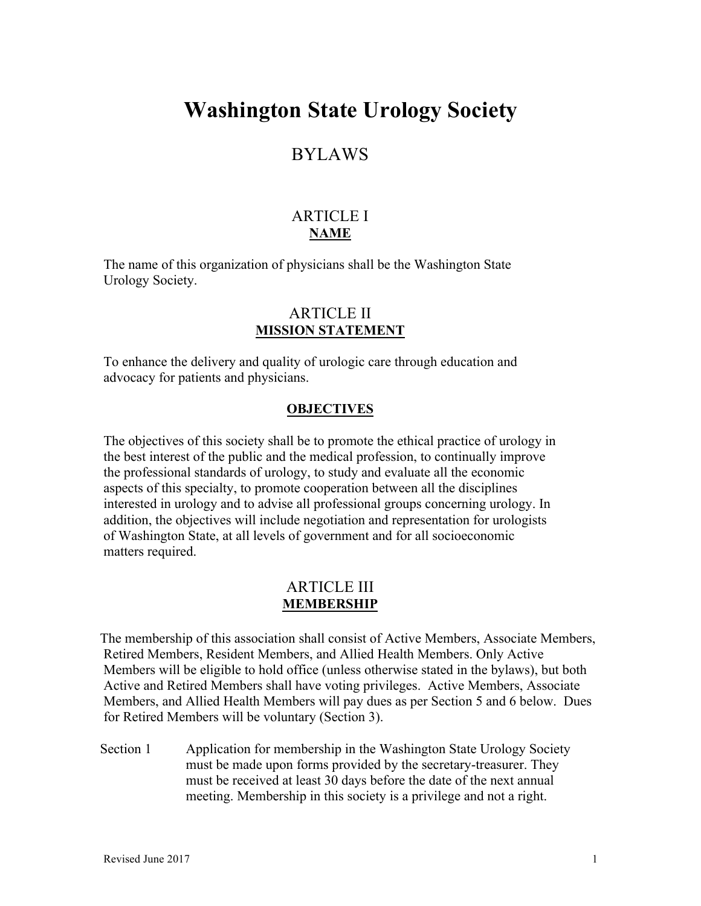# **Washington State Urology Society**

# BYLAWS

# ARTICLE I **NAME**

The name of this organization of physicians shall be the Washington State Urology Society.

## ARTICLE II **MISSION STATEMENT**

To enhance the delivery and quality of urologic care through education and advocacy for patients and physicians.

### **OBJECTIVES**

The objectives of this society shall be to promote the ethical practice of urology in the best interest of the public and the medical profession, to continually improve the professional standards of urology, to study and evaluate all the economic aspects of this specialty, to promote cooperation between all the disciplines interested in urology and to advise all professional groups concerning urology. In addition, the objectives will include negotiation and representation for urologists of Washington State, at all levels of government and for all socioeconomic matters required.

### ARTICLE III **MEMBERSHIP**

 The membership of this association shall consist of Active Members, Associate Members, Retired Members, Resident Members, and Allied Health Members. Only Active Members will be eligible to hold office (unless otherwise stated in the bylaws), but both Active and Retired Members shall have voting privileges. Active Members, Associate Members, and Allied Health Members will pay dues as per Section 5 and 6 below. Dues for Retired Members will be voluntary (Section 3).

Section 1 Application for membership in the Washington State Urology Society must be made upon forms provided by the secretary-treasurer. They must be received at least 30 days before the date of the next annual meeting. Membership in this society is a privilege and not a right.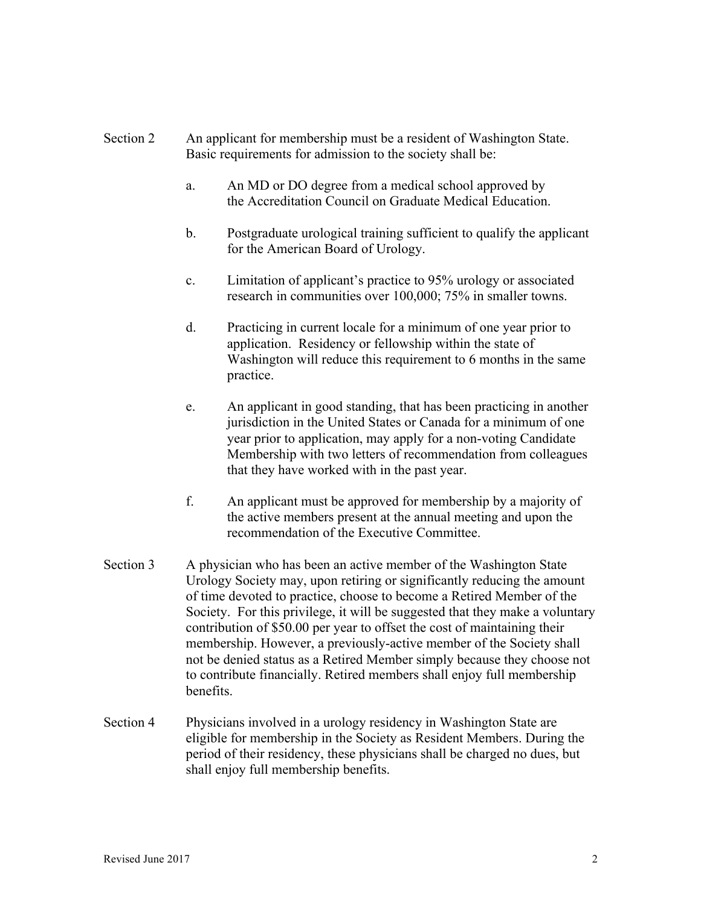## Section 2 An applicant for membership must be a resident of Washington State. Basic requirements for admission to the society shall be:

- a. An MD or DO degree from a medical school approved by the Accreditation Council on Graduate Medical Education.
- b. Postgraduate urological training sufficient to qualify the applicant for the American Board of Urology.
- c. Limitation of applicant's practice to 95% urology or associated research in communities over 100,000; 75% in smaller towns.
- d. Practicing in current locale for a minimum of one year prior to application. Residency or fellowship within the state of Washington will reduce this requirement to 6 months in the same practice.
- e. An applicant in good standing, that has been practicing in another jurisdiction in the United States or Canada for a minimum of one year prior to application, may apply for a non-voting Candidate Membership with two letters of recommendation from colleagues that they have worked with in the past year.
- f. An applicant must be approved for membership by a majority of the active members present at the annual meeting and upon the recommendation of the Executive Committee.
- Section 3 A physician who has been an active member of the Washington State Urology Society may, upon retiring or significantly reducing the amount of time devoted to practice, choose to become a Retired Member of the Society. For this privilege, it will be suggested that they make a voluntary contribution of \$50.00 per year to offset the cost of maintaining their membership. However, a previously-active member of the Society shall not be denied status as a Retired Member simply because they choose not to contribute financially. Retired members shall enjoy full membership benefits.
- Section 4 Physicians involved in a urology residency in Washington State are eligible for membership in the Society as Resident Members. During the period of their residency, these physicians shall be charged no dues, but shall enjoy full membership benefits.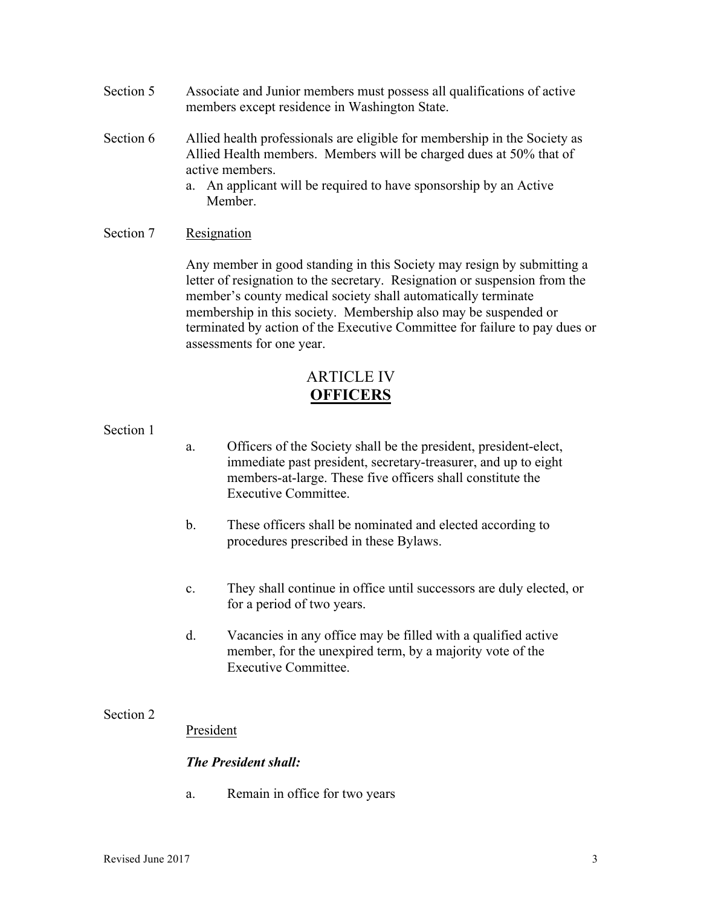- Section 5 Associate and Junior members must possess all qualifications of active members except residence in Washington State.
- Section 6 Allied health professionals are eligible for membership in the Society as Allied Health members. Members will be charged dues at 50% that of active members.
	- a. An applicant will be required to have sponsorship by an Active Member.

### Section 7 Resignation

Any member in good standing in this Society may resign by submitting a letter of resignation to the secretary. Resignation or suspension from the member's county medical society shall automatically terminate membership in this society. Membership also may be suspended or terminated by action of the Executive Committee for failure to pay dues or assessments for one year.

# ARTICLE IV **OFFICERS**

#### Section 1

- a. Officers of the Society shall be the president, president-elect, immediate past president, secretary-treasurer, and up to eight members-at-large. These five officers shall constitute the Executive Committee.
- b. These officers shall be nominated and elected according to procedures prescribed in these Bylaws.
- c. They shall continue in office until successors are duly elected, or for a period of two years.
- d. Vacancies in any office may be filled with a qualified active member, for the unexpired term, by a majority vote of the Executive Committee.

### Section 2

President

### *The President shall:*

a. Remain in office for two years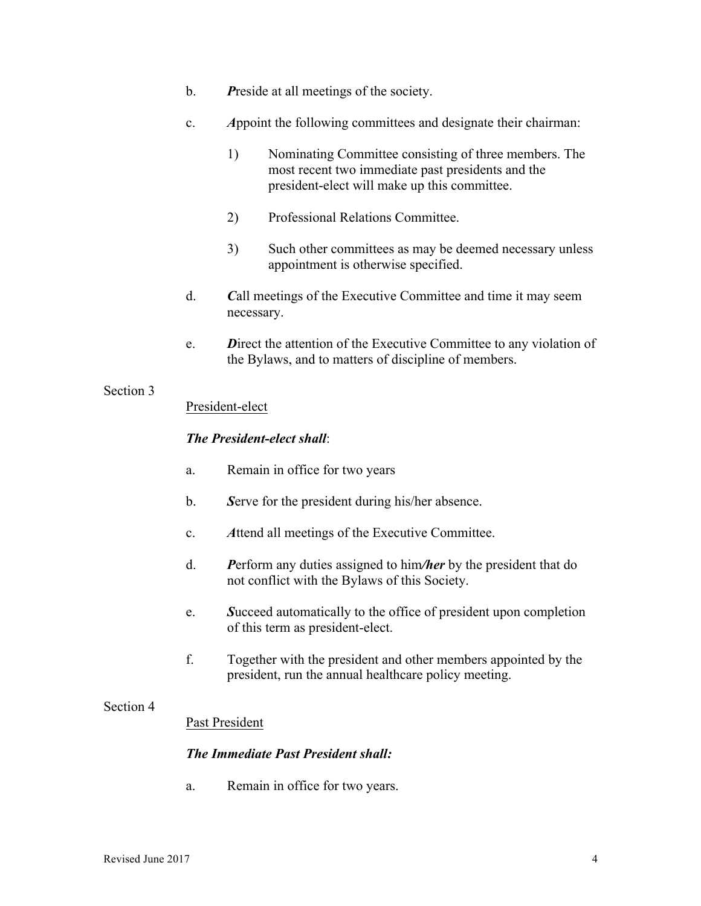- b. *P*reside at all meetings of the society.
- c. *A*ppoint the following committees and designate their chairman:
	- 1) Nominating Committee consisting of three members. The most recent two immediate past presidents and the president-elect will make up this committee.
	- 2) Professional Relations Committee.
	- 3) Such other committees as may be deemed necessary unless appointment is otherwise specified.
- d. *C*all meetings of the Executive Committee and time it may seem necessary.
- e. *D*irect the attention of the Executive Committee to any violation of the Bylaws, and to matters of discipline of members.

### President-elect

### *The President-elect shall*:

- a. Remain in office for two years
- b. *S*erve for the president during his/her absence.
- c. *A*ttend all meetings of the Executive Committee.
- d. *P*erform any duties assigned to him*/her* by the president that do not conflict with the Bylaws of this Society.
- e. *S*ucceed automatically to the office of president upon completion of this term as president-elect.
- f. Together with the president and other members appointed by the president, run the annual healthcare policy meeting.

### Section 4

### Past President

### *The Immediate Past President shall:*

a. Remain in office for two years.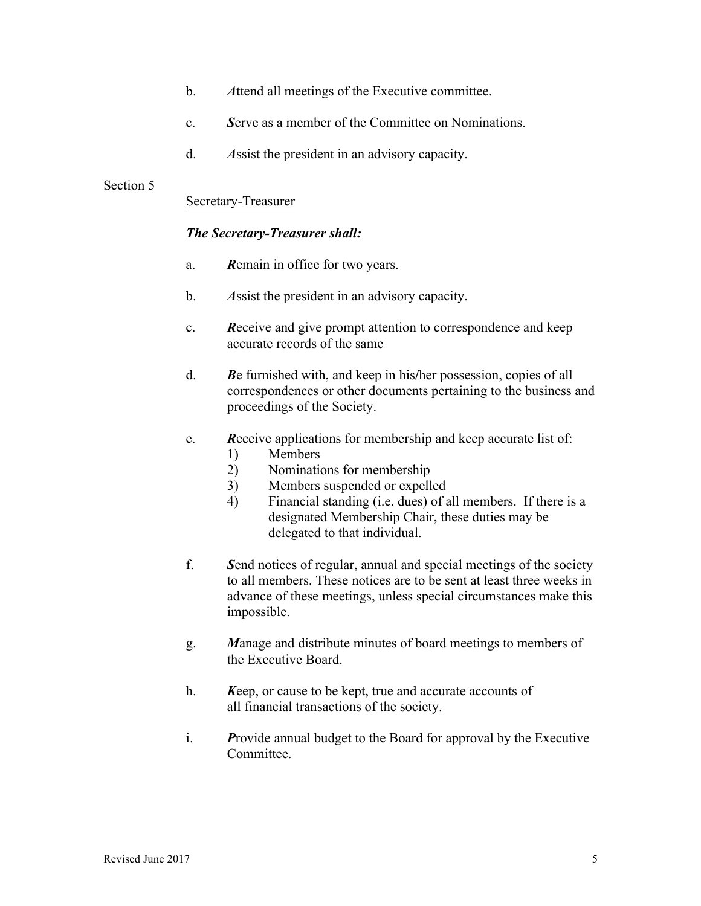- b. *A*ttend all meetings of the Executive committee.
- c. *S*erve as a member of the Committee on Nominations.
- d. *A*ssist the president in an advisory capacity.

#### Secretary-Treasurer

### *The Secretary-Treasurer shall:*

- a. *R*emain in office for two years.
- b. *A*ssist the president in an advisory capacity.
- c. *R*eceive and give prompt attention to correspondence and keep accurate records of the same
- d. *B*e furnished with, and keep in his**/**her possession, copies of all correspondences or other documents pertaining to the business and proceedings of the Society.
- e. *R*eceive applications for membership and keep accurate list of:
	- 1) Members
	- 2) Nominations for membership
	- 3) Members suspended or expelled
	- 4) Financial standing (i.e. dues) of all members. If there is a designated Membership Chair, these duties may be delegated to that individual.
- f. *S*end notices of regular, annual and special meetings of the society to all members. These notices are to be sent at least three weeks in advance of these meetings, unless special circumstances make this impossible.
- g. *M*anage and distribute minutes of board meetings to members of the Executive Board.
- h. *K*eep, or cause to be kept, true and accurate accounts of all financial transactions of the society.
- i. *P*rovide annual budget to the Board for approval by the Executive Committee.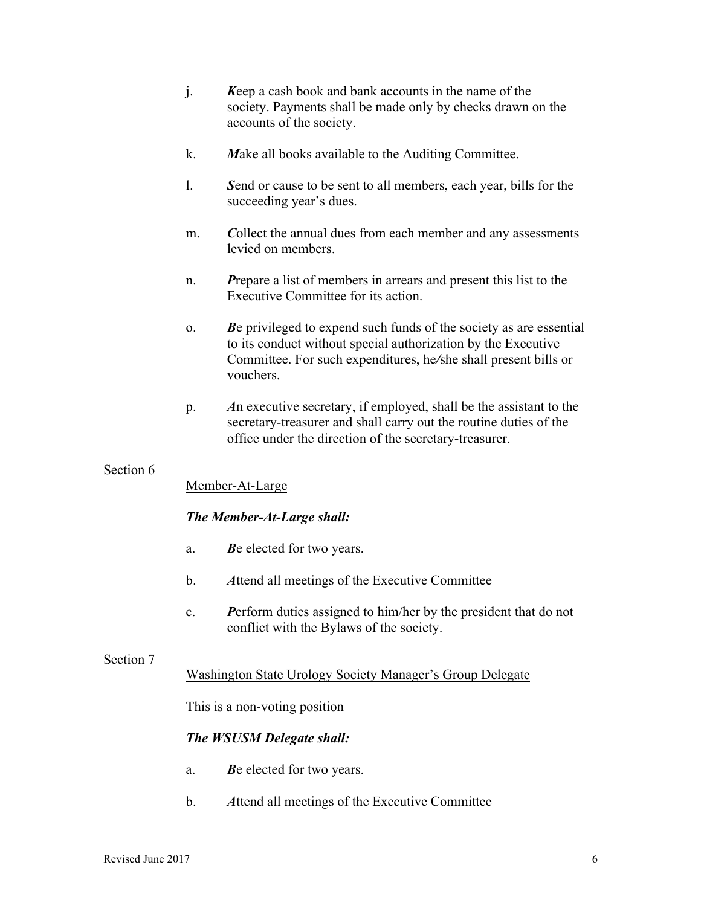- j. *K*eep a cash book and bank accounts in the name of the society. Payments shall be made only by checks drawn on the accounts of the society.
- k. *M*ake all books available to the Auditing Committee.
- l. *S*end or cause to be sent to all members, each year, bills for the succeeding year's dues.
- m. *C*ollect the annual dues from each member and any assessments levied on members.
- n. *P*repare a list of members in arrears and present this list to the Executive Committee for its action.
- o. *B*e privileged to expend such funds of the society as are essential to its conduct without special authorization by the Executive Committee. For such expenditures, he*/*she shall present bills or vouchers.
- p. *A*n executive secretary, if employed, shall be the assistant to the secretary-treasurer and shall carry out the routine duties of the office under the direction of the secretary-treasurer.

#### Member-At-Large

#### *The Member-At-Large shall:*

- a. *B*e elected for two years.
- b. *A*ttend all meetings of the Executive Committee
- c. *P*erform duties assigned to him/her by the president that do not conflict with the Bylaws of the society.

#### Section 7

### Washington State Urology Society Manager's Group Delegate

This is a non-voting position

### *The WSUSM Delegate shall:*

- a. *B*e elected for two years.
- b. *A*ttend all meetings of the Executive Committee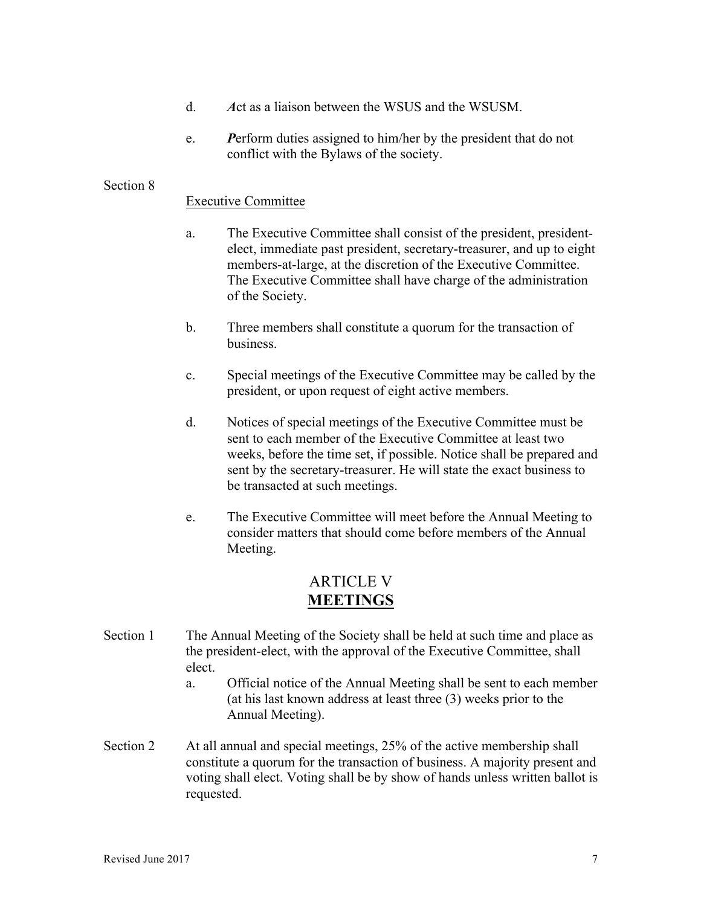- d. *A*ct as a liaison between the WSUS and the WSUSM.
- e. *P*erform duties assigned to him/her by the president that do not conflict with the Bylaws of the society.

#### Executive Committee

- a. The Executive Committee shall consist of the president, presidentelect, immediate past president, secretary-treasurer, and up to eight members-at-large, at the discretion of the Executive Committee. The Executive Committee shall have charge of the administration of the Society.
- b. Three members shall constitute a quorum for the transaction of business.
- c. Special meetings of the Executive Committee may be called by the president, or upon request of eight active members.
- d. Notices of special meetings of the Executive Committee must be sent to each member of the Executive Committee at least two weeks, before the time set, if possible. Notice shall be prepared and sent by the secretary-treasurer. He will state the exact business to be transacted at such meetings.
- e. The Executive Committee will meet before the Annual Meeting to consider matters that should come before members of the Annual Meeting.

# ARTICLE V **MEETINGS**

- Section 1 The Annual Meeting of the Society shall be held at such time and place as the president-elect, with the approval of the Executive Committee, shall elect.
	- a. Official notice of the Annual Meeting shall be sent to each member (at his last known address at least three (3) weeks prior to the Annual Meeting).
- Section 2 At all annual and special meetings, 25% of the active membership shall constitute a quorum for the transaction of business. A majority present and voting shall elect. Voting shall be by show of hands unless written ballot is requested.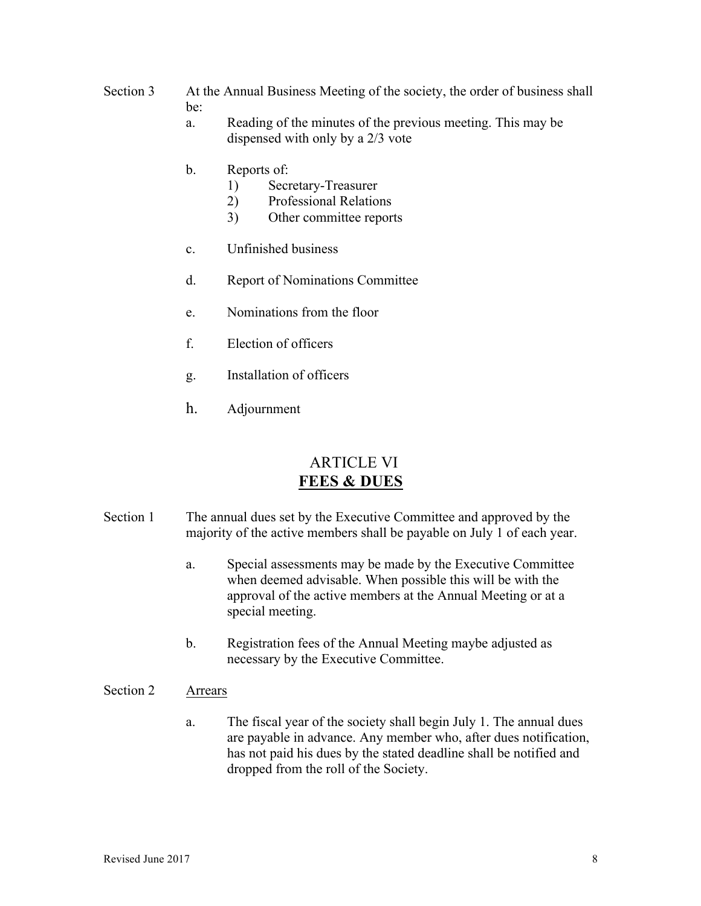# Section 3 At the Annual Business Meeting of the society, the order of business shall be:

- a. Reading of the minutes of the previous meeting. This may be dispensed with only by a 2/3 vote
- b. Reports of:
	- 1) Secretary-Treasurer
	- 2) Professional Relations
	- 3) Other committee reports
- c. Unfinished business
- d. Report of Nominations Committee
- e. Nominations from the floor
- f. Election of officers
- g. Installation of officers
- h. Adjournment

# ARTICLE VI **FEES & DUES**

- Section 1 The annual dues set by the Executive Committee and approved by the majority of the active members shall be payable on July 1 of each year.
	- a. Special assessments may be made by the Executive Committee when deemed advisable. When possible this will be with the approval of the active members at the Annual Meeting or at a special meeting.
	- b. Registration fees of the Annual Meeting maybe adjusted as necessary by the Executive Committee.

### Section 2 Arrears

a. The fiscal year of the society shall begin July 1. The annual dues are payable in advance. Any member who, after dues notification, has not paid his dues by the stated deadline shall be notified and dropped from the roll of the Society.